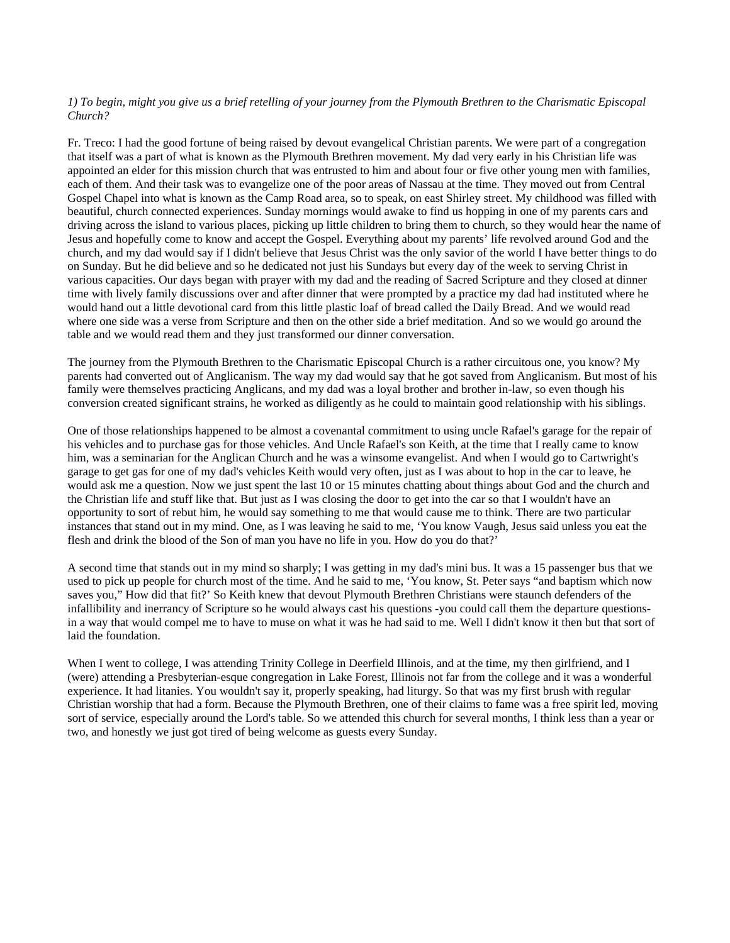# *1) To begin, might you give us a brief retelling of your journey from the Plymouth Brethren to the Charismatic Episcopal Church?*

Fr. Treco: I had the good fortune of being raised by devout evangelical Christian parents. We were part of a congregation that itself was a part of what is known as the Plymouth Brethren movement. My dad very early in his Christian life was appointed an elder for this mission church that was entrusted to him and about four or five other young men with families, each of them. And their task was to evangelize one of the poor areas of Nassau at the time. They moved out from Central Gospel Chapel into what is known as the Camp Road area, so to speak, on east Shirley street. My childhood was filled with beautiful, church connected experiences. Sunday mornings would awake to find us hopping in one of my parents cars and driving across the island to various places, picking up little children to bring them to church, so they would hear the name of Jesus and hopefully come to know and accept the Gospel. Everything about my parents' life revolved around God and the church, and my dad would say if I didn't believe that Jesus Christ was the only savior of the world I have better things to do on Sunday. But he did believe and so he dedicated not just his Sundays but every day of the week to serving Christ in various capacities. Our days began with prayer with my dad and the reading of Sacred Scripture and they closed at dinner time with lively family discussions over and after dinner that were prompted by a practice my dad had instituted where he would hand out a little devotional card from this little plastic loaf of bread called the Daily Bread. And we would read where one side was a verse from Scripture and then on the other side a brief meditation. And so we would go around the table and we would read them and they just transformed our dinner conversation.

The journey from the Plymouth Brethren to the Charismatic Episcopal Church is a rather circuitous one, you know? My parents had converted out of Anglicanism. The way my dad would say that he got saved from Anglicanism. But most of his family were themselves practicing Anglicans, and my dad was a loyal brother and brother in-law, so even though his conversion created significant strains, he worked as diligently as he could to maintain good relationship with his siblings.

One of those relationships happened to be almost a covenantal commitment to using uncle Rafael's garage for the repair of his vehicles and to purchase gas for those vehicles. And Uncle Rafael's son Keith, at the time that I really came to know him, was a seminarian for the Anglican Church and he was a winsome evangelist. And when I would go to Cartwright's garage to get gas for one of my dad's vehicles Keith would very often, just as I was about to hop in the car to leave, he would ask me a question. Now we just spent the last 10 or 15 minutes chatting about things about God and the church and the Christian life and stuff like that. But just as I was closing the door to get into the car so that I wouldn't have an opportunity to sort of rebut him, he would say something to me that would cause me to think. There are two particular instances that stand out in my mind. One, as I was leaving he said to me, 'You know Vaugh, Jesus said unless you eat the flesh and drink the blood of the Son of man you have no life in you. How do you do that?'

A second time that stands out in my mind so sharply; I was getting in my dad's mini bus. It was a 15 passenger bus that we used to pick up people for church most of the time. And he said to me, 'You know, St. Peter says "and baptism which now saves you," How did that fit?' So Keith knew that devout Plymouth Brethren Christians were staunch defenders of the infallibility and inerrancy of Scripture so he would always cast his questions -you could call them the departure questionsin a way that would compel me to have to muse on what it was he had said to me. Well I didn't know it then but that sort of laid the foundation.

When I went to college, I was attending Trinity College in Deerfield Illinois, and at the time, my then girlfriend, and I (were) attending a Presbyterian-esque congregation in Lake Forest, Illinois not far from the college and it was a wonderful experience. It had litanies. You wouldn't say it, properly speaking, had liturgy. So that was my first brush with regular Christian worship that had a form. Because the Plymouth Brethren, one of their claims to fame was a free spirit led, moving sort of service, especially around the Lord's table. So we attended this church for several months, I think less than a year or two, and honestly we just got tired of being welcome as guests every Sunday.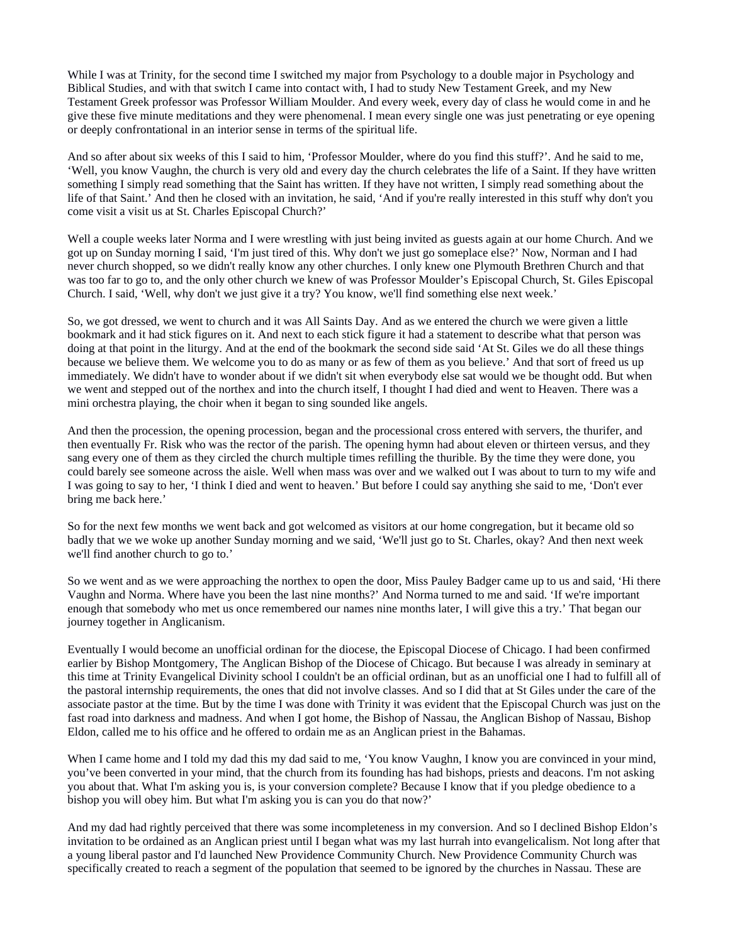While I was at Trinity, for the second time I switched my major from Psychology to a double major in Psychology and Biblical Studies, and with that switch I came into contact with, I had to study New Testament Greek, and my New Testament Greek professor was Professor William Moulder. And every week, every day of class he would come in and he give these five minute meditations and they were phenomenal. I mean every single one was just penetrating or eye opening or deeply confrontational in an interior sense in terms of the spiritual life.

And so after about six weeks of this I said to him, 'Professor Moulder, where do you find this stuff?'. And he said to me, 'Well, you know Vaughn, the church is very old and every day the church celebrates the life of a Saint. If they have written something I simply read something that the Saint has written. If they have not written, I simply read something about the life of that Saint.' And then he closed with an invitation, he said, 'And if you're really interested in this stuff why don't you come visit a visit us at St. Charles Episcopal Church?'

Well a couple weeks later Norma and I were wrestling with just being invited as guests again at our home Church. And we got up on Sunday morning I said, 'I'm just tired of this. Why don't we just go someplace else?' Now, Norman and I had never church shopped, so we didn't really know any other churches. I only knew one Plymouth Brethren Church and that was too far to go to, and the only other church we knew of was Professor Moulder's Episcopal Church, St. Giles Episcopal Church. I said, 'Well, why don't we just give it a try? You know, we'll find something else next week.'

So, we got dressed, we went to church and it was All Saints Day. And as we entered the church we were given a little bookmark and it had stick figures on it. And next to each stick figure it had a statement to describe what that person was doing at that point in the liturgy. And at the end of the bookmark the second side said 'At St. Giles we do all these things because we believe them. We welcome you to do as many or as few of them as you believe.' And that sort of freed us up immediately. We didn't have to wonder about if we didn't sit when everybody else sat would we be thought odd. But when we went and stepped out of the northex and into the church itself, I thought I had died and went to Heaven. There was a mini orchestra playing, the choir when it began to sing sounded like angels.

And then the procession, the opening procession, began and the processional cross entered with servers, the thurifer, and then eventually Fr. Risk who was the rector of the parish. The opening hymn had about eleven or thirteen versus, and they sang every one of them as they circled the church multiple times refilling the thurible. By the time they were done, you could barely see someone across the aisle. Well when mass was over and we walked out I was about to turn to my wife and I was going to say to her, 'I think I died and went to heaven.' But before I could say anything she said to me, 'Don't ever bring me back here.'

So for the next few months we went back and got welcomed as visitors at our home congregation, but it became old so badly that we we woke up another Sunday morning and we said, 'We'll just go to St. Charles, okay? And then next week we'll find another church to go to.'

So we went and as we were approaching the northex to open the door, Miss Pauley Badger came up to us and said, 'Hi there Vaughn and Norma. Where have you been the last nine months?' And Norma turned to me and said. 'If we're important enough that somebody who met us once remembered our names nine months later, I will give this a try.' That began our journey together in Anglicanism.

Eventually I would become an unofficial ordinan for the diocese, the Episcopal Diocese of Chicago. I had been confirmed earlier by Bishop Montgomery, The Anglican Bishop of the Diocese of Chicago. But because I was already in seminary at this time at Trinity Evangelical Divinity school I couldn't be an official ordinan, but as an unofficial one I had to fulfill all of the pastoral internship requirements, the ones that did not involve classes. And so I did that at St Giles under the care of the associate pastor at the time. But by the time I was done with Trinity it was evident that the Episcopal Church was just on the fast road into darkness and madness. And when I got home, the Bishop of Nassau, the Anglican Bishop of Nassau, Bishop Eldon, called me to his office and he offered to ordain me as an Anglican priest in the Bahamas.

When I came home and I told my dad this my dad said to me, 'You know Vaughn, I know you are convinced in your mind, you've been converted in your mind, that the church from its founding has had bishops, priests and deacons. I'm not asking you about that. What I'm asking you is, is your conversion complete? Because I know that if you pledge obedience to a bishop you will obey him. But what I'm asking you is can you do that now?'

And my dad had rightly perceived that there was some incompleteness in my conversion. And so I declined Bishop Eldon's invitation to be ordained as an Anglican priest until I began what was my last hurrah into evangelicalism. Not long after that a young liberal pastor and I'd launched New Providence Community Church. New Providence Community Church was specifically created to reach a segment of the population that seemed to be ignored by the churches in Nassau. These are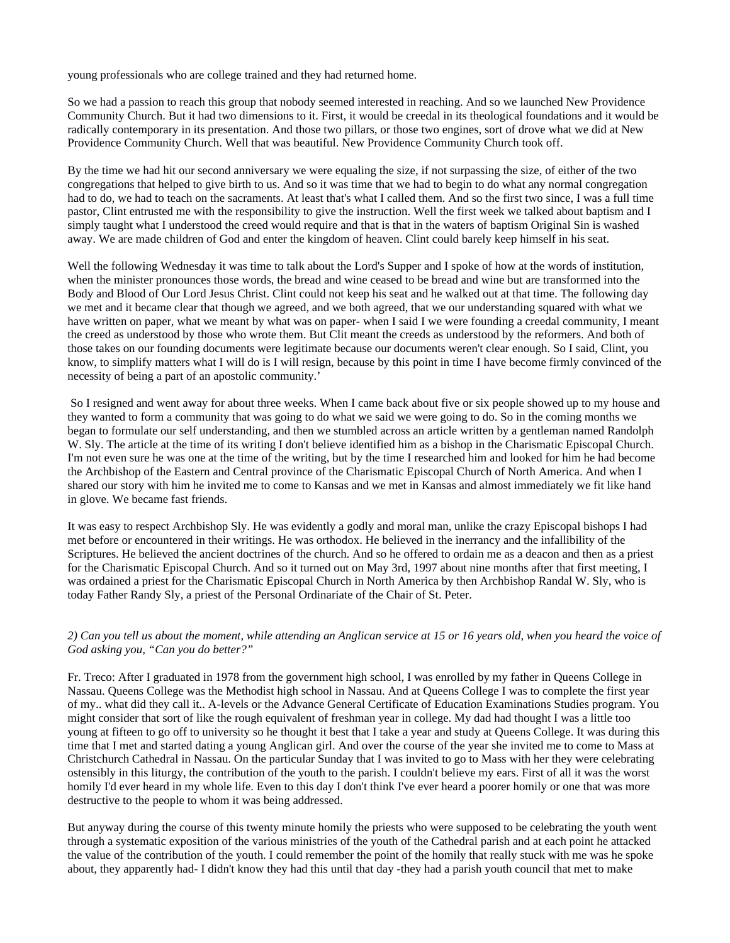young professionals who are college trained and they had returned home.

So we had a passion to reach this group that nobody seemed interested in reaching. And so we launched New Providence Community Church. But it had two dimensions to it. First, it would be creedal in its theological foundations and it would be radically contemporary in its presentation. And those two pillars, or those two engines, sort of drove what we did at New Providence Community Church. Well that was beautiful. New Providence Community Church took off.

By the time we had hit our second anniversary we were equaling the size, if not surpassing the size, of either of the two congregations that helped to give birth to us. And so it was time that we had to begin to do what any normal congregation had to do, we had to teach on the sacraments. At least that's what I called them. And so the first two since, I was a full time pastor, Clint entrusted me with the responsibility to give the instruction. Well the first week we talked about baptism and I simply taught what I understood the creed would require and that is that in the waters of baptism Original Sin is washed away. We are made children of God and enter the kingdom of heaven. Clint could barely keep himself in his seat.

Well the following Wednesday it was time to talk about the Lord's Supper and I spoke of how at the words of institution, when the minister pronounces those words, the bread and wine ceased to be bread and wine but are transformed into the Body and Blood of Our Lord Jesus Christ. Clint could not keep his seat and he walked out at that time. The following day we met and it became clear that though we agreed, and we both agreed, that we our understanding squared with what we have written on paper, what we meant by what was on paper- when I said I we were founding a creedal community, I meant the creed as understood by those who wrote them. But Clit meant the creeds as understood by the reformers. And both of those takes on our founding documents were legitimate because our documents weren't clear enough. So I said, Clint, you know, to simplify matters what I will do is I will resign, because by this point in time I have become firmly convinced of the necessity of being a part of an apostolic community.'

 So I resigned and went away for about three weeks. When I came back about five or six people showed up to my house and they wanted to form a community that was going to do what we said we were going to do. So in the coming months we began to formulate our self understanding, and then we stumbled across an article written by a gentleman named Randolph W. Sly. The article at the time of its writing I don't believe identified him as a bishop in the Charismatic Episcopal Church. I'm not even sure he was one at the time of the writing, but by the time I researched him and looked for him he had become the Archbishop of the Eastern and Central province of the Charismatic Episcopal Church of North America. And when I shared our story with him he invited me to come to Kansas and we met in Kansas and almost immediately we fit like hand in glove. We became fast friends.

It was easy to respect Archbishop Sly. He was evidently a godly and moral man, unlike the crazy Episcopal bishops I had met before or encountered in their writings. He was orthodox. He believed in the inerrancy and the infallibility of the Scriptures. He believed the ancient doctrines of the church. And so he offered to ordain me as a deacon and then as a priest for the Charismatic Episcopal Church. And so it turned out on May 3rd, 1997 about nine months after that first meeting, I was ordained a priest for the Charismatic Episcopal Church in North America by then Archbishop Randal W. Sly, who is today Father Randy Sly, a priest of the Personal Ordinariate of the Chair of St. Peter.

### *2) Can you tell us about the moment, while attending an Anglican service at 15 or 16 years old, when you heard the voice of God asking you, "Can you do better?"*

Fr. Treco: After I graduated in 1978 from the government high school, I was enrolled by my father in Queens College in Nassau. Queens College was the Methodist high school in Nassau. And at Queens College I was to complete the first year of my.. what did they call it.. A-levels or the Advance General Certificate of Education Examinations Studies program. You might consider that sort of like the rough equivalent of freshman year in college. My dad had thought I was a little too young at fifteen to go off to university so he thought it best that I take a year and study at Queens College. It was during this time that I met and started dating a young Anglican girl. And over the course of the year she invited me to come to Mass at Christchurch Cathedral in Nassau. On the particular Sunday that I was invited to go to Mass with her they were celebrating ostensibly in this liturgy, the contribution of the youth to the parish. I couldn't believe my ears. First of all it was the worst homily I'd ever heard in my whole life. Even to this day I don't think I've ever heard a poorer homily or one that was more destructive to the people to whom it was being addressed.

But anyway during the course of this twenty minute homily the priests who were supposed to be celebrating the youth went through a systematic exposition of the various ministries of the youth of the Cathedral parish and at each point he attacked the value of the contribution of the youth. I could remember the point of the homily that really stuck with me was he spoke about, they apparently had- I didn't know they had this until that day -they had a parish youth council that met to make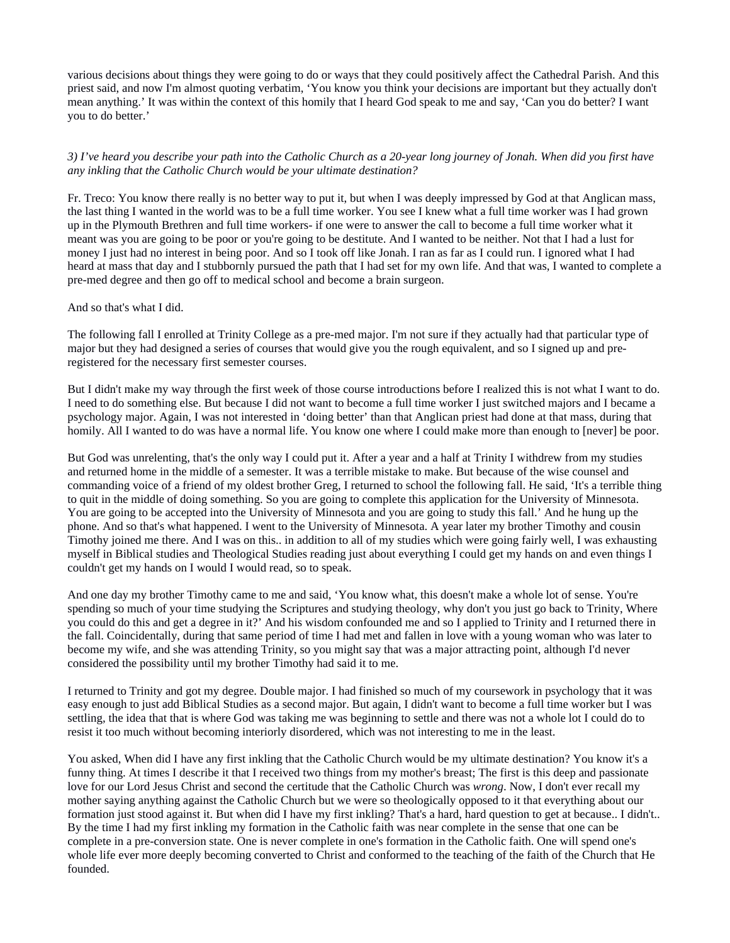various decisions about things they were going to do or ways that they could positively affect the Cathedral Parish. And this priest said, and now I'm almost quoting verbatim, 'You know you think your decisions are important but they actually don't mean anything.' It was within the context of this homily that I heard God speak to me and say, 'Can you do better? I want you to do better.'

*3) I've heard you describe your path into the Catholic Church as a 20-year long journey of Jonah. When did you first have any inkling that the Catholic Church would be your ultimate destination?*

Fr. Treco: You know there really is no better way to put it, but when I was deeply impressed by God at that Anglican mass, the last thing I wanted in the world was to be a full time worker. You see I knew what a full time worker was I had grown up in the Plymouth Brethren and full time workers- if one were to answer the call to become a full time worker what it meant was you are going to be poor or you're going to be destitute. And I wanted to be neither. Not that I had a lust for money I just had no interest in being poor. And so I took off like Jonah. I ran as far as I could run. I ignored what I had heard at mass that day and I stubbornly pursued the path that I had set for my own life. And that was, I wanted to complete a pre-med degree and then go off to medical school and become a brain surgeon.

#### And so that's what I did.

The following fall I enrolled at Trinity College as a pre-med major. I'm not sure if they actually had that particular type of major but they had designed a series of courses that would give you the rough equivalent, and so I signed up and preregistered for the necessary first semester courses.

But I didn't make my way through the first week of those course introductions before I realized this is not what I want to do. I need to do something else. But because I did not want to become a full time worker I just switched majors and I became a psychology major. Again, I was not interested in 'doing better' than that Anglican priest had done at that mass, during that homily. All I wanted to do was have a normal life. You know one where I could make more than enough to [never] be poor.

But God was unrelenting, that's the only way I could put it. After a year and a half at Trinity I withdrew from my studies and returned home in the middle of a semester. It was a terrible mistake to make. But because of the wise counsel and commanding voice of a friend of my oldest brother Greg, I returned to school the following fall. He said, 'It's a terrible thing to quit in the middle of doing something. So you are going to complete this application for the University of Minnesota. You are going to be accepted into the University of Minnesota and you are going to study this fall.' And he hung up the phone. And so that's what happened. I went to the University of Minnesota. A year later my brother Timothy and cousin Timothy joined me there. And I was on this.. in addition to all of my studies which were going fairly well, I was exhausting myself in Biblical studies and Theological Studies reading just about everything I could get my hands on and even things I couldn't get my hands on I would I would read, so to speak.

And one day my brother Timothy came to me and said, 'You know what, this doesn't make a whole lot of sense. You're spending so much of your time studying the Scriptures and studying theology, why don't you just go back to Trinity, Where you could do this and get a degree in it?' And his wisdom confounded me and so I applied to Trinity and I returned there in the fall. Coincidentally, during that same period of time I had met and fallen in love with a young woman who was later to become my wife, and she was attending Trinity, so you might say that was a major attracting point, although I'd never considered the possibility until my brother Timothy had said it to me.

I returned to Trinity and got my degree. Double major. I had finished so much of my coursework in psychology that it was easy enough to just add Biblical Studies as a second major. But again, I didn't want to become a full time worker but I was settling, the idea that that is where God was taking me was beginning to settle and there was not a whole lot I could do to resist it too much without becoming interiorly disordered, which was not interesting to me in the least.

You asked, When did I have any first inkling that the Catholic Church would be my ultimate destination? You know it's a funny thing. At times I describe it that I received two things from my mother's breast; The first is this deep and passionate love for our Lord Jesus Christ and second the certitude that the Catholic Church was *wrong*. Now, I don't ever recall my mother saying anything against the Catholic Church but we were so theologically opposed to it that everything about our formation just stood against it. But when did I have my first inkling? That's a hard, hard question to get at because.. I didn't.. By the time I had my first inkling my formation in the Catholic faith was near complete in the sense that one can be complete in a pre-conversion state. One is never complete in one's formation in the Catholic faith. One will spend one's whole life ever more deeply becoming converted to Christ and conformed to the teaching of the faith of the Church that He founded.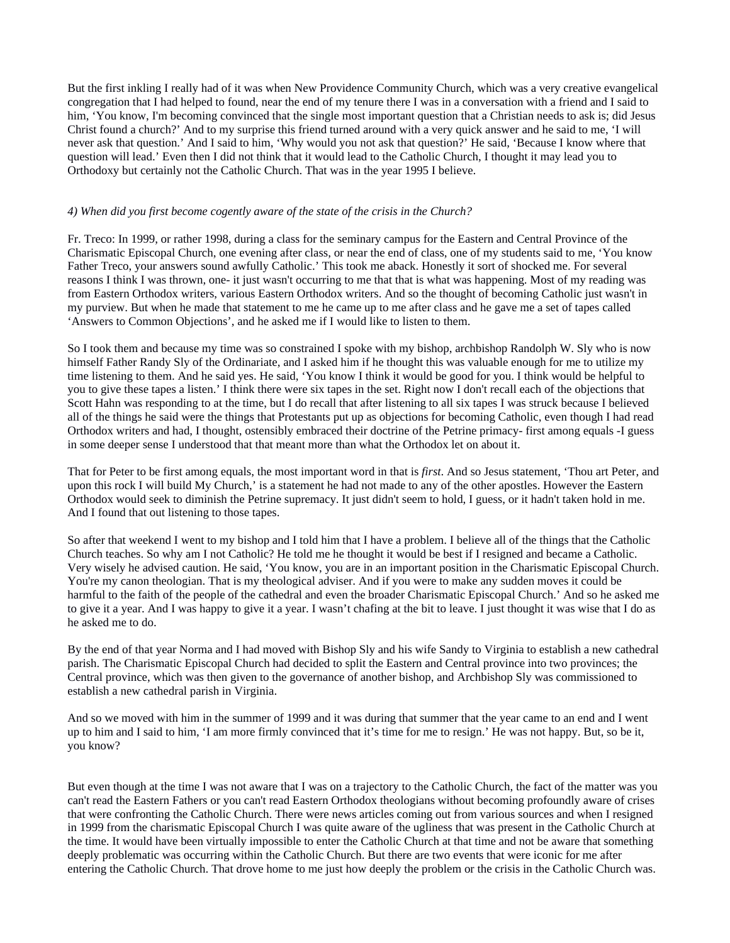But the first inkling I really had of it was when New Providence Community Church, which was a very creative evangelical congregation that I had helped to found, near the end of my tenure there I was in a conversation with a friend and I said to him, 'You know, I'm becoming convinced that the single most important question that a Christian needs to ask is; did Jesus Christ found a church?' And to my surprise this friend turned around with a very quick answer and he said to me, 'I will never ask that question.' And I said to him, 'Why would you not ask that question?' He said, 'Because I know where that question will lead.' Even then I did not think that it would lead to the Catholic Church, I thought it may lead you to Orthodoxy but certainly not the Catholic Church. That was in the year 1995 I believe.

#### *4) When did you first become cogently aware of the state of the crisis in the Church?*

Fr. Treco: In 1999, or rather 1998, during a class for the seminary campus for the Eastern and Central Province of the Charismatic Episcopal Church, one evening after class, or near the end of class, one of my students said to me, 'You know Father Treco, your answers sound awfully Catholic.' This took me aback. Honestly it sort of shocked me. For several reasons I think I was thrown, one- it just wasn't occurring to me that that is what was happening. Most of my reading was from Eastern Orthodox writers, various Eastern Orthodox writers. And so the thought of becoming Catholic just wasn't in my purview. But when he made that statement to me he came up to me after class and he gave me a set of tapes called 'Answers to Common Objections', and he asked me if I would like to listen to them.

So I took them and because my time was so constrained I spoke with my bishop, archbishop Randolph W. Sly who is now himself Father Randy Sly of the Ordinariate, and I asked him if he thought this was valuable enough for me to utilize my time listening to them. And he said yes. He said, 'You know I think it would be good for you. I think would be helpful to you to give these tapes a listen.' I think there were six tapes in the set. Right now I don't recall each of the objections that Scott Hahn was responding to at the time, but I do recall that after listening to all six tapes I was struck because I believed all of the things he said were the things that Protestants put up as objections for becoming Catholic, even though I had read Orthodox writers and had, I thought, ostensibly embraced their doctrine of the Petrine primacy- first among equals -I guess in some deeper sense I understood that that meant more than what the Orthodox let on about it.

That for Peter to be first among equals, the most important word in that is *first*. And so Jesus statement, 'Thou art Peter, and upon this rock I will build My Church,' is a statement he had not made to any of the other apostles. However the Eastern Orthodox would seek to diminish the Petrine supremacy. It just didn't seem to hold, I guess, or it hadn't taken hold in me. And I found that out listening to those tapes.

So after that weekend I went to my bishop and I told him that I have a problem. I believe all of the things that the Catholic Church teaches. So why am I not Catholic? He told me he thought it would be best if I resigned and became a Catholic. Very wisely he advised caution. He said, 'You know, you are in an important position in the Charismatic Episcopal Church. You're my canon theologian. That is my theological adviser. And if you were to make any sudden moves it could be harmful to the faith of the people of the cathedral and even the broader Charismatic Episcopal Church.' And so he asked me to give it a year. And I was happy to give it a year. I wasn't chafing at the bit to leave. I just thought it was wise that I do as he asked me to do.

By the end of that year Norma and I had moved with Bishop Sly and his wife Sandy to Virginia to establish a new cathedral parish. The Charismatic Episcopal Church had decided to split the Eastern and Central province into two provinces; the Central province, which was then given to the governance of another bishop, and Archbishop Sly was commissioned to establish a new cathedral parish in Virginia.

And so we moved with him in the summer of 1999 and it was during that summer that the year came to an end and I went up to him and I said to him, 'I am more firmly convinced that it's time for me to resign.' He was not happy. But, so be it, you know?

But even though at the time I was not aware that I was on a trajectory to the Catholic Church, the fact of the matter was you can't read the Eastern Fathers or you can't read Eastern Orthodox theologians without becoming profoundly aware of crises that were confronting the Catholic Church. There were news articles coming out from various sources and when I resigned in 1999 from the charismatic Episcopal Church I was quite aware of the ugliness that was present in the Catholic Church at the time. It would have been virtually impossible to enter the Catholic Church at that time and not be aware that something deeply problematic was occurring within the Catholic Church. But there are two events that were iconic for me after entering the Catholic Church. That drove home to me just how deeply the problem or the crisis in the Catholic Church was.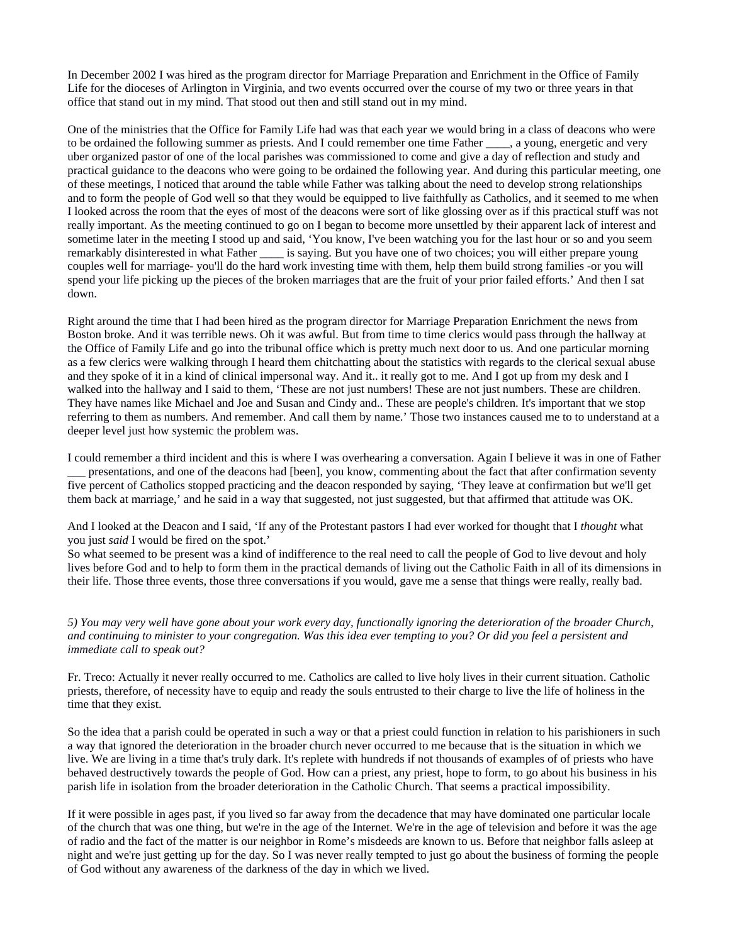In December 2002 I was hired as the program director for Marriage Preparation and Enrichment in the Office of Family Life for the dioceses of Arlington in Virginia, and two events occurred over the course of my two or three years in that office that stand out in my mind. That stood out then and still stand out in my mind.

One of the ministries that the Office for Family Life had was that each year we would bring in a class of deacons who were to be ordained the following summer as priests. And I could remember one time Father \_\_\_\_, a young, energetic and very uber organized pastor of one of the local parishes was commissioned to come and give a day of reflection and study and practical guidance to the deacons who were going to be ordained the following year. And during this particular meeting, one of these meetings, I noticed that around the table while Father was talking about the need to develop strong relationships and to form the people of God well so that they would be equipped to live faithfully as Catholics, and it seemed to me when I looked across the room that the eyes of most of the deacons were sort of like glossing over as if this practical stuff was not really important. As the meeting continued to go on I began to become more unsettled by their apparent lack of interest and sometime later in the meeting I stood up and said, 'You know, I've been watching you for the last hour or so and you seem remarkably disinterested in what Father \_\_\_\_\_ is saying. But you have one of two choices; you will either prepare young couples well for marriage- you'll do the hard work investing time with them, help them build strong families -or you will spend your life picking up the pieces of the broken marriages that are the fruit of your prior failed efforts.' And then I sat down.

Right around the time that I had been hired as the program director for Marriage Preparation Enrichment the news from Boston broke. And it was terrible news. Oh it was awful. But from time to time clerics would pass through the hallway at the Office of Family Life and go into the tribunal office which is pretty much next door to us. And one particular morning as a few clerics were walking through I heard them chitchatting about the statistics with regards to the clerical sexual abuse and they spoke of it in a kind of clinical impersonal way. And it.. it really got to me. And I got up from my desk and I walked into the hallway and I said to them, 'These are not just numbers! These are not just numbers. These are children. They have names like Michael and Joe and Susan and Cindy and.. These are people's children. It's important that we stop referring to them as numbers. And remember. And call them by name.' Those two instances caused me to to understand at a deeper level just how systemic the problem was.

I could remember a third incident and this is where I was overhearing a conversation. Again I believe it was in one of Father \_\_\_ presentations, and one of the deacons had [been], you know, commenting about the fact that after confirmation seventy five percent of Catholics stopped practicing and the deacon responded by saying, 'They leave at confirmation but we'll get them back at marriage,' and he said in a way that suggested, not just suggested, but that affirmed that attitude was OK.

And I looked at the Deacon and I said, 'If any of the Protestant pastors I had ever worked for thought that I *thought* what you just *said* I would be fired on the spot.'

So what seemed to be present was a kind of indifference to the real need to call the people of God to live devout and holy lives before God and to help to form them in the practical demands of living out the Catholic Faith in all of its dimensions in their life. Those three events, those three conversations if you would, gave me a sense that things were really, really bad.

*5) You may very well have gone about your work every day, functionally ignoring the deterioration of the broader Church, and continuing to minister to your congregation. Was this idea ever tempting to you? Or did you feel a persistent and immediate call to speak out?*

Fr. Treco: Actually it never really occurred to me. Catholics are called to live holy lives in their current situation. Catholic priests, therefore, of necessity have to equip and ready the souls entrusted to their charge to live the life of holiness in the time that they exist.

So the idea that a parish could be operated in such a way or that a priest could function in relation to his parishioners in such a way that ignored the deterioration in the broader church never occurred to me because that is the situation in which we live. We are living in a time that's truly dark. It's replete with hundreds if not thousands of examples of of priests who have behaved destructively towards the people of God. How can a priest, any priest, hope to form, to go about his business in his parish life in isolation from the broader deterioration in the Catholic Church. That seems a practical impossibility.

If it were possible in ages past, if you lived so far away from the decadence that may have dominated one particular locale of the church that was one thing, but we're in the age of the Internet. We're in the age of television and before it was the age of radio and the fact of the matter is our neighbor in Rome's misdeeds are known to us. Before that neighbor falls asleep at night and we're just getting up for the day. So I was never really tempted to just go about the business of forming the people of God without any awareness of the darkness of the day in which we lived.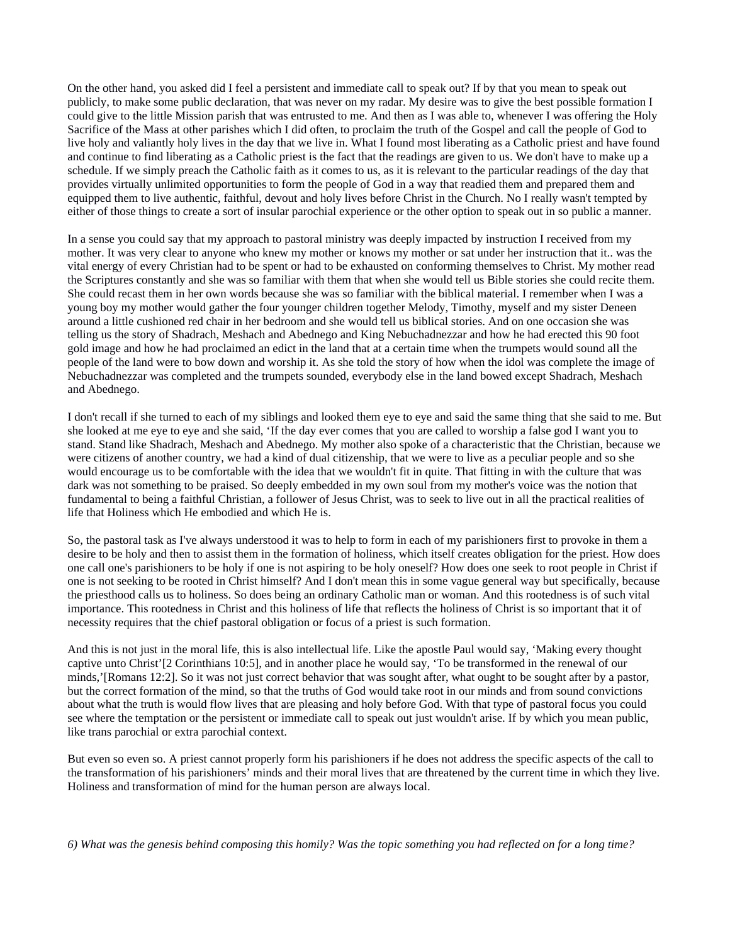On the other hand, you asked did I feel a persistent and immediate call to speak out? If by that you mean to speak out publicly, to make some public declaration, that was never on my radar. My desire was to give the best possible formation I could give to the little Mission parish that was entrusted to me. And then as I was able to, whenever I was offering the Holy Sacrifice of the Mass at other parishes which I did often, to proclaim the truth of the Gospel and call the people of God to live holy and valiantly holy lives in the day that we live in. What I found most liberating as a Catholic priest and have found and continue to find liberating as a Catholic priest is the fact that the readings are given to us. We don't have to make up a schedule. If we simply preach the Catholic faith as it comes to us, as it is relevant to the particular readings of the day that provides virtually unlimited opportunities to form the people of God in a way that readied them and prepared them and equipped them to live authentic, faithful, devout and holy lives before Christ in the Church. No I really wasn't tempted by either of those things to create a sort of insular parochial experience or the other option to speak out in so public a manner.

In a sense you could say that my approach to pastoral ministry was deeply impacted by instruction I received from my mother. It was very clear to anyone who knew my mother or knows my mother or sat under her instruction that it.. was the vital energy of every Christian had to be spent or had to be exhausted on conforming themselves to Christ. My mother read the Scriptures constantly and she was so familiar with them that when she would tell us Bible stories she could recite them. She could recast them in her own words because she was so familiar with the biblical material. I remember when I was a young boy my mother would gather the four younger children together Melody, Timothy, myself and my sister Deneen around a little cushioned red chair in her bedroom and she would tell us biblical stories. And on one occasion she was telling us the story of Shadrach, Meshach and Abednego and King Nebuchadnezzar and how he had erected this 90 foot gold image and how he had proclaimed an edict in the land that at a certain time when the trumpets would sound all the people of the land were to bow down and worship it. As she told the story of how when the idol was complete the image of Nebuchadnezzar was completed and the trumpets sounded, everybody else in the land bowed except Shadrach, Meshach and Abednego.

I don't recall if she turned to each of my siblings and looked them eye to eye and said the same thing that she said to me. But she looked at me eye to eye and she said, 'If the day ever comes that you are called to worship a false god I want you to stand. Stand like Shadrach, Meshach and Abednego. My mother also spoke of a characteristic that the Christian, because we were citizens of another country, we had a kind of dual citizenship, that we were to live as a peculiar people and so she would encourage us to be comfortable with the idea that we wouldn't fit in quite. That fitting in with the culture that was dark was not something to be praised. So deeply embedded in my own soul from my mother's voice was the notion that fundamental to being a faithful Christian, a follower of Jesus Christ, was to seek to live out in all the practical realities of life that Holiness which He embodied and which He is.

So, the pastoral task as I've always understood it was to help to form in each of my parishioners first to provoke in them a desire to be holy and then to assist them in the formation of holiness, which itself creates obligation for the priest. How does one call one's parishioners to be holy if one is not aspiring to be holy oneself? How does one seek to root people in Christ if one is not seeking to be rooted in Christ himself? And I don't mean this in some vague general way but specifically, because the priesthood calls us to holiness. So does being an ordinary Catholic man or woman. And this rootedness is of such vital importance. This rootedness in Christ and this holiness of life that reflects the holiness of Christ is so important that it of necessity requires that the chief pastoral obligation or focus of a priest is such formation.

And this is not just in the moral life, this is also intellectual life. Like the apostle Paul would say, 'Making every thought captive unto Christ'[2 Corinthians 10:5], and in another place he would say, 'To be transformed in the renewal of our minds,'[Romans 12:2]. So it was not just correct behavior that was sought after, what ought to be sought after by a pastor, but the correct formation of the mind, so that the truths of God would take root in our minds and from sound convictions about what the truth is would flow lives that are pleasing and holy before God. With that type of pastoral focus you could see where the temptation or the persistent or immediate call to speak out just wouldn't arise. If by which you mean public, like trans parochial or extra parochial context.

But even so even so. A priest cannot properly form his parishioners if he does not address the specific aspects of the call to the transformation of his parishioners' minds and their moral lives that are threatened by the current time in which they live. Holiness and transformation of mind for the human person are always local.

*6) What was the genesis behind composing this homily? Was the topic something you had reflected on for a long time?*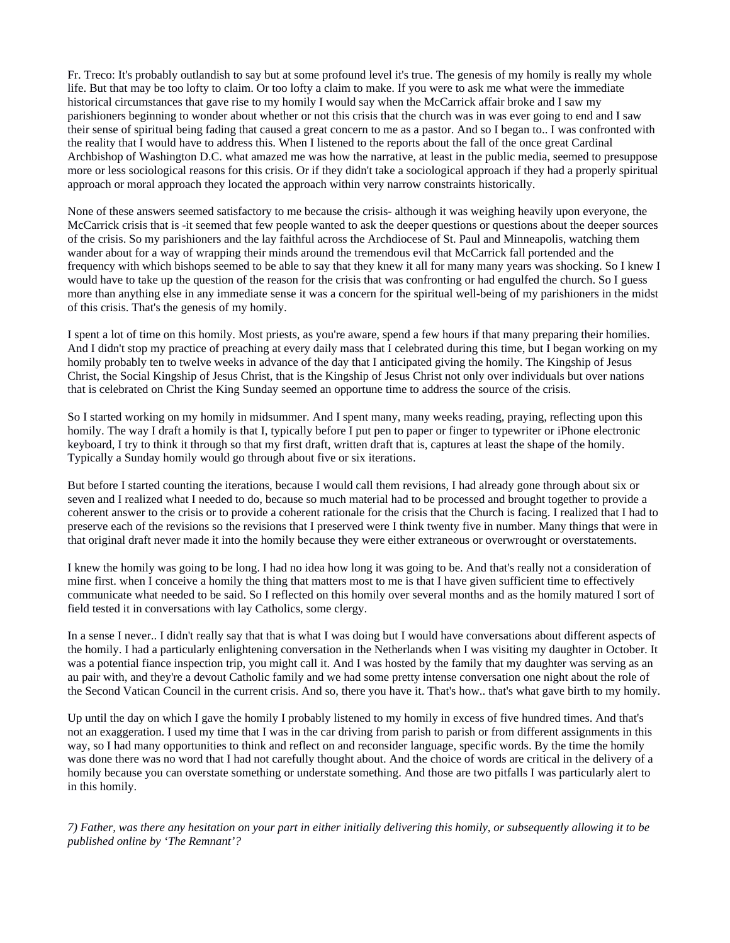Fr. Treco: It's probably outlandish to say but at some profound level it's true. The genesis of my homily is really my whole life. But that may be too lofty to claim. Or too lofty a claim to make. If you were to ask me what were the immediate historical circumstances that gave rise to my homily I would say when the McCarrick affair broke and I saw my parishioners beginning to wonder about whether or not this crisis that the church was in was ever going to end and I saw their sense of spiritual being fading that caused a great concern to me as a pastor. And so I began to.. I was confronted with the reality that I would have to address this. When I listened to the reports about the fall of the once great Cardinal Archbishop of Washington D.C. what amazed me was how the narrative, at least in the public media, seemed to presuppose more or less sociological reasons for this crisis. Or if they didn't take a sociological approach if they had a properly spiritual approach or moral approach they located the approach within very narrow constraints historically.

None of these answers seemed satisfactory to me because the crisis- although it was weighing heavily upon everyone, the McCarrick crisis that is -it seemed that few people wanted to ask the deeper questions or questions about the deeper sources of the crisis. So my parishioners and the lay faithful across the Archdiocese of St. Paul and Minneapolis, watching them wander about for a way of wrapping their minds around the tremendous evil that McCarrick fall portended and the frequency with which bishops seemed to be able to say that they knew it all for many many years was shocking. So I knew I would have to take up the question of the reason for the crisis that was confronting or had engulfed the church. So I guess more than anything else in any immediate sense it was a concern for the spiritual well-being of my parishioners in the midst of this crisis. That's the genesis of my homily.

I spent a lot of time on this homily. Most priests, as you're aware, spend a few hours if that many preparing their homilies. And I didn't stop my practice of preaching at every daily mass that I celebrated during this time, but I began working on my homily probably ten to twelve weeks in advance of the day that I anticipated giving the homily. The Kingship of Jesus Christ, the Social Kingship of Jesus Christ, that is the Kingship of Jesus Christ not only over individuals but over nations that is celebrated on Christ the King Sunday seemed an opportune time to address the source of the crisis.

So I started working on my homily in midsummer. And I spent many, many weeks reading, praying, reflecting upon this homily. The way I draft a homily is that I, typically before I put pen to paper or finger to typewriter or iPhone electronic keyboard, I try to think it through so that my first draft, written draft that is, captures at least the shape of the homily. Typically a Sunday homily would go through about five or six iterations.

But before I started counting the iterations, because I would call them revisions, I had already gone through about six or seven and I realized what I needed to do, because so much material had to be processed and brought together to provide a coherent answer to the crisis or to provide a coherent rationale for the crisis that the Church is facing. I realized that I had to preserve each of the revisions so the revisions that I preserved were I think twenty five in number. Many things that were in that original draft never made it into the homily because they were either extraneous or overwrought or overstatements.

I knew the homily was going to be long. I had no idea how long it was going to be. And that's really not a consideration of mine first. when I conceive a homily the thing that matters most to me is that I have given sufficient time to effectively communicate what needed to be said. So I reflected on this homily over several months and as the homily matured I sort of field tested it in conversations with lay Catholics, some clergy.

In a sense I never.. I didn't really say that that is what I was doing but I would have conversations about different aspects of the homily. I had a particularly enlightening conversation in the Netherlands when I was visiting my daughter in October. It was a potential fiance inspection trip, you might call it. And I was hosted by the family that my daughter was serving as an au pair with, and they're a devout Catholic family and we had some pretty intense conversation one night about the role of the Second Vatican Council in the current crisis. And so, there you have it. That's how.. that's what gave birth to my homily.

Up until the day on which I gave the homily I probably listened to my homily in excess of five hundred times. And that's not an exaggeration. I used my time that I was in the car driving from parish to parish or from different assignments in this way, so I had many opportunities to think and reflect on and reconsider language, specific words. By the time the homily was done there was no word that I had not carefully thought about. And the choice of words are critical in the delivery of a homily because you can overstate something or understate something. And those are two pitfalls I was particularly alert to in this homily.

*7) Father, was there any hesitation on your part in either initially delivering this homily, or subsequently allowing it to be published online by 'The Remnant'?*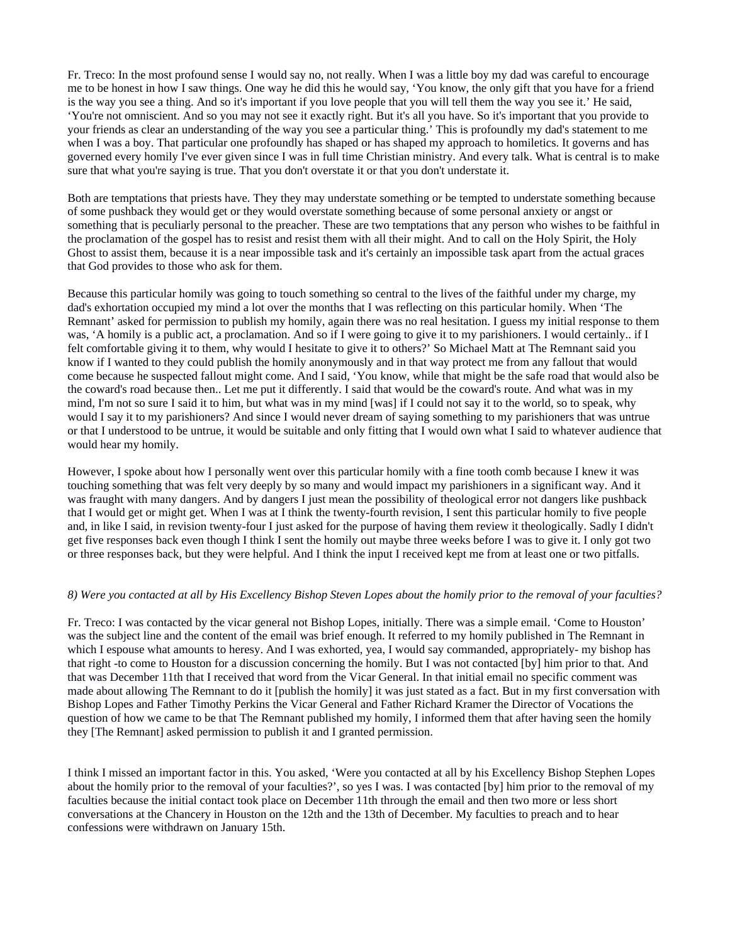Fr. Treco: In the most profound sense I would say no, not really. When I was a little boy my dad was careful to encourage me to be honest in how I saw things. One way he did this he would say, 'You know, the only gift that you have for a friend is the way you see a thing. And so it's important if you love people that you will tell them the way you see it.' He said, 'You're not omniscient. And so you may not see it exactly right. But it's all you have. So it's important that you provide to your friends as clear an understanding of the way you see a particular thing.' This is profoundly my dad's statement to me when I was a boy. That particular one profoundly has shaped or has shaped my approach to homiletics. It governs and has governed every homily I've ever given since I was in full time Christian ministry. And every talk. What is central is to make sure that what you're saying is true. That you don't overstate it or that you don't understate it.

Both are temptations that priests have. They they may understate something or be tempted to understate something because of some pushback they would get or they would overstate something because of some personal anxiety or angst or something that is peculiarly personal to the preacher. These are two temptations that any person who wishes to be faithful in the proclamation of the gospel has to resist and resist them with all their might. And to call on the Holy Spirit, the Holy Ghost to assist them, because it is a near impossible task and it's certainly an impossible task apart from the actual graces that God provides to those who ask for them.

Because this particular homily was going to touch something so central to the lives of the faithful under my charge, my dad's exhortation occupied my mind a lot over the months that I was reflecting on this particular homily. When 'The Remnant' asked for permission to publish my homily, again there was no real hesitation. I guess my initial response to them was, 'A homily is a public act, a proclamation. And so if I were going to give it to my parishioners. I would certainly.. if I felt comfortable giving it to them, why would I hesitate to give it to others?' So Michael Matt at The Remnant said you know if I wanted to they could publish the homily anonymously and in that way protect me from any fallout that would come because he suspected fallout might come. And I said, 'You know, while that might be the safe road that would also be the coward's road because then.. Let me put it differently. I said that would be the coward's route. And what was in my mind, I'm not so sure I said it to him, but what was in my mind [was] if I could not say it to the world, so to speak, why would I say it to my parishioners? And since I would never dream of saying something to my parishioners that was untrue or that I understood to be untrue, it would be suitable and only fitting that I would own what I said to whatever audience that would hear my homily.

However, I spoke about how I personally went over this particular homily with a fine tooth comb because I knew it was touching something that was felt very deeply by so many and would impact my parishioners in a significant way. And it was fraught with many dangers. And by dangers I just mean the possibility of theological error not dangers like pushback that I would get or might get. When I was at I think the twenty-fourth revision, I sent this particular homily to five people and, in like I said, in revision twenty-four I just asked for the purpose of having them review it theologically. Sadly I didn't get five responses back even though I think I sent the homily out maybe three weeks before I was to give it. I only got two or three responses back, but they were helpful. And I think the input I received kept me from at least one or two pitfalls.

#### *8) Were you contacted at all by His Excellency Bishop Steven Lopes about the homily prior to the removal of your faculties?*

Fr. Treco: I was contacted by the vicar general not Bishop Lopes, initially. There was a simple email. 'Come to Houston' was the subject line and the content of the email was brief enough. It referred to my homily published in The Remnant in which I espouse what amounts to heresy. And I was exhorted, yea, I would say commanded, appropriately- my bishop has that right -to come to Houston for a discussion concerning the homily. But I was not contacted [by] him prior to that. And that was December 11th that I received that word from the Vicar General. In that initial email no specific comment was made about allowing The Remnant to do it [publish the homily] it was just stated as a fact. But in my first conversation with Bishop Lopes and Father Timothy Perkins the Vicar General and Father Richard Kramer the Director of Vocations the question of how we came to be that The Remnant published my homily, I informed them that after having seen the homily they [The Remnant] asked permission to publish it and I granted permission.

I think I missed an important factor in this. You asked, 'Were you contacted at all by his Excellency Bishop Stephen Lopes about the homily prior to the removal of your faculties?', so yes I was. I was contacted [by] him prior to the removal of my faculties because the initial contact took place on December 11th through the email and then two more or less short conversations at the Chancery in Houston on the 12th and the 13th of December. My faculties to preach and to hear confessions were withdrawn on January 15th.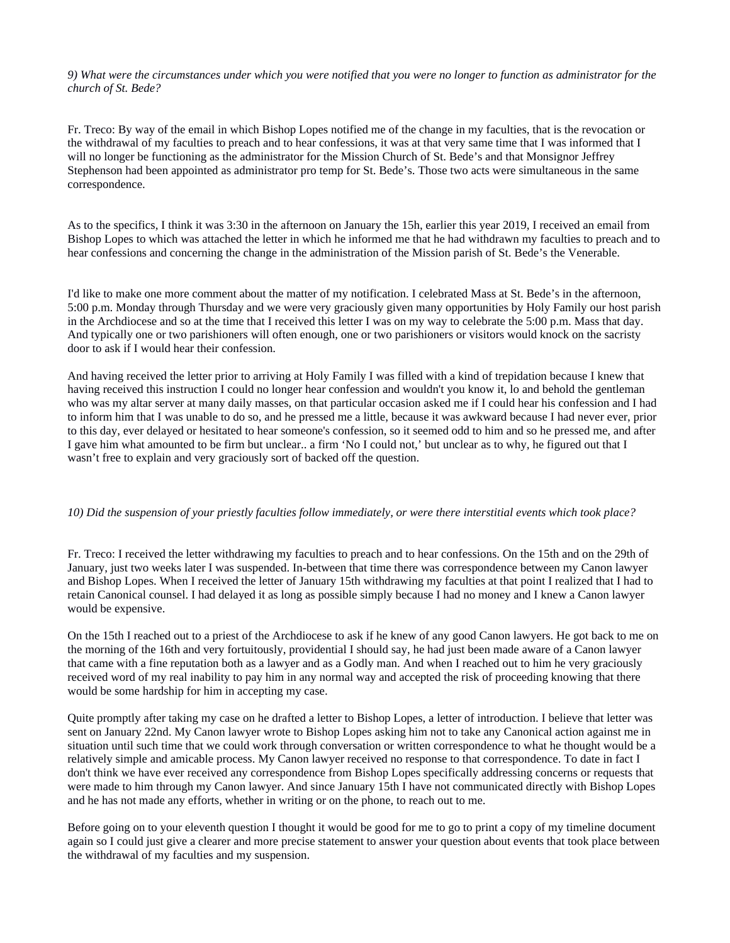*9) What were the circumstances under which you were notified that you were no longer to function as administrator for the church of St. Bede?*

Fr. Treco: By way of the email in which Bishop Lopes notified me of the change in my faculties, that is the revocation or the withdrawal of my faculties to preach and to hear confessions, it was at that very same time that I was informed that I will no longer be functioning as the administrator for the Mission Church of St. Bede's and that Monsignor Jeffrey Stephenson had been appointed as administrator pro temp for St. Bede's. Those two acts were simultaneous in the same correspondence.

As to the specifics, I think it was 3:30 in the afternoon on January the 15h, earlier this year 2019, I received an email from Bishop Lopes to which was attached the letter in which he informed me that he had withdrawn my faculties to preach and to hear confessions and concerning the change in the administration of the Mission parish of St. Bede's the Venerable.

I'd like to make one more comment about the matter of my notification. I celebrated Mass at St. Bede's in the afternoon, 5:00 p.m. Monday through Thursday and we were very graciously given many opportunities by Holy Family our host parish in the Archdiocese and so at the time that I received this letter I was on my way to celebrate the 5:00 p.m. Mass that day. And typically one or two parishioners will often enough, one or two parishioners or visitors would knock on the sacristy door to ask if I would hear their confession.

And having received the letter prior to arriving at Holy Family I was filled with a kind of trepidation because I knew that having received this instruction I could no longer hear confession and wouldn't you know it, lo and behold the gentleman who was my altar server at many daily masses, on that particular occasion asked me if I could hear his confession and I had to inform him that I was unable to do so, and he pressed me a little, because it was awkward because I had never ever, prior to this day, ever delayed or hesitated to hear someone's confession, so it seemed odd to him and so he pressed me, and after I gave him what amounted to be firm but unclear.. a firm 'No I could not,' but unclear as to why, he figured out that I wasn't free to explain and very graciously sort of backed off the question.

## *10) Did the suspension of your priestly faculties follow immediately, or were there interstitial events which took place?*

Fr. Treco: I received the letter withdrawing my faculties to preach and to hear confessions. On the 15th and on the 29th of January, just two weeks later I was suspended. In-between that time there was correspondence between my Canon lawyer and Bishop Lopes. When I received the letter of January 15th withdrawing my faculties at that point I realized that I had to retain Canonical counsel. I had delayed it as long as possible simply because I had no money and I knew a Canon lawyer would be expensive.

On the 15th I reached out to a priest of the Archdiocese to ask if he knew of any good Canon lawyers. He got back to me on the morning of the 16th and very fortuitously, providential I should say, he had just been made aware of a Canon lawyer that came with a fine reputation both as a lawyer and as a Godly man. And when I reached out to him he very graciously received word of my real inability to pay him in any normal way and accepted the risk of proceeding knowing that there would be some hardship for him in accepting my case.

Quite promptly after taking my case on he drafted a letter to Bishop Lopes, a letter of introduction. I believe that letter was sent on January 22nd. My Canon lawyer wrote to Bishop Lopes asking him not to take any Canonical action against me in situation until such time that we could work through conversation or written correspondence to what he thought would be a relatively simple and amicable process. My Canon lawyer received no response to that correspondence. To date in fact I don't think we have ever received any correspondence from Bishop Lopes specifically addressing concerns or requests that were made to him through my Canon lawyer. And since January 15th I have not communicated directly with Bishop Lopes and he has not made any efforts, whether in writing or on the phone, to reach out to me.

Before going on to your eleventh question I thought it would be good for me to go to print a copy of my timeline document again so I could just give a clearer and more precise statement to answer your question about events that took place between the withdrawal of my faculties and my suspension.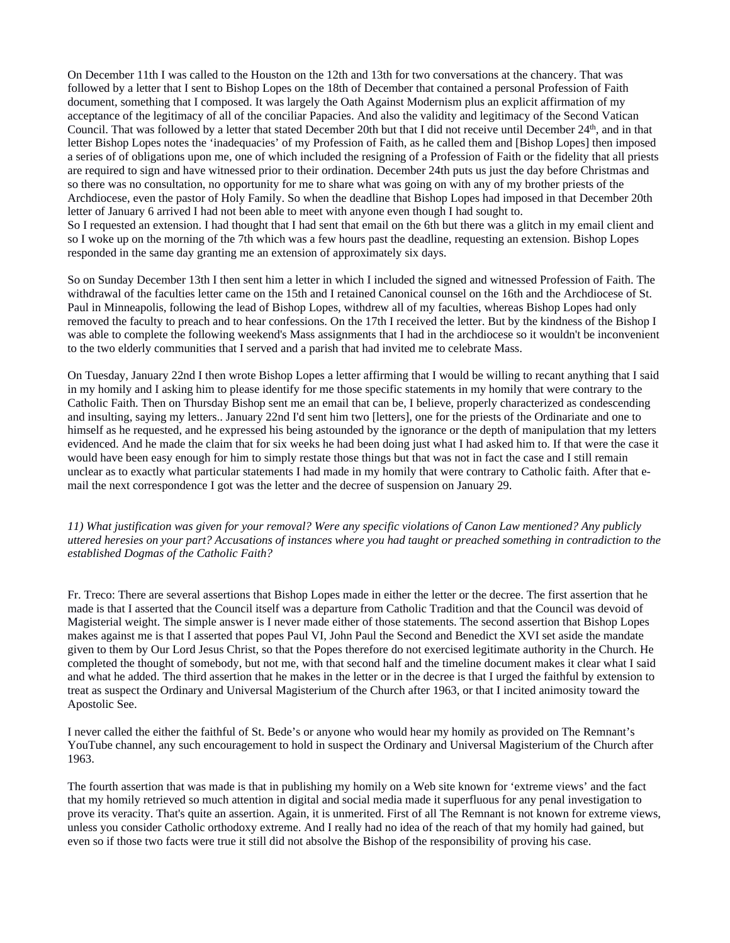On December 11th I was called to the Houston on the 12th and 13th for two conversations at the chancery. That was followed by a letter that I sent to Bishop Lopes on the 18th of December that contained a personal Profession of Faith document, something that I composed. It was largely the Oath Against Modernism plus an explicit affirmation of my acceptance of the legitimacy of all of the conciliar Papacies. And also the validity and legitimacy of the Second Vatican Council. That was followed by a letter that stated December 20th but that I did not receive until December 24th, and in that letter Bishop Lopes notes the 'inadequacies' of my Profession of Faith, as he called them and [Bishop Lopes] then imposed a series of of obligations upon me, one of which included the resigning of a Profession of Faith or the fidelity that all priests are required to sign and have witnessed prior to their ordination. December 24th puts us just the day before Christmas and so there was no consultation, no opportunity for me to share what was going on with any of my brother priests of the Archdiocese, even the pastor of Holy Family. So when the deadline that Bishop Lopes had imposed in that December 20th letter of January 6 arrived I had not been able to meet with anyone even though I had sought to. So I requested an extension. I had thought that I had sent that email on the 6th but there was a glitch in my email client and so I woke up on the morning of the 7th which was a few hours past the deadline, requesting an extension. Bishop Lopes responded in the same day granting me an extension of approximately six days.

So on Sunday December 13th I then sent him a letter in which I included the signed and witnessed Profession of Faith. The withdrawal of the faculties letter came on the 15th and I retained Canonical counsel on the 16th and the Archdiocese of St. Paul in Minneapolis, following the lead of Bishop Lopes, withdrew all of my faculties, whereas Bishop Lopes had only removed the faculty to preach and to hear confessions. On the 17th I received the letter. But by the kindness of the Bishop I was able to complete the following weekend's Mass assignments that I had in the archdiocese so it wouldn't be inconvenient to the two elderly communities that I served and a parish that had invited me to celebrate Mass.

On Tuesday, January 22nd I then wrote Bishop Lopes a letter affirming that I would be willing to recant anything that I said in my homily and I asking him to please identify for me those specific statements in my homily that were contrary to the Catholic Faith. Then on Thursday Bishop sent me an email that can be, I believe, properly characterized as condescending and insulting, saying my letters.. January 22nd I'd sent him two [letters], one for the priests of the Ordinariate and one to himself as he requested, and he expressed his being astounded by the ignorance or the depth of manipulation that my letters evidenced. And he made the claim that for six weeks he had been doing just what I had asked him to. If that were the case it would have been easy enough for him to simply restate those things but that was not in fact the case and I still remain unclear as to exactly what particular statements I had made in my homily that were contrary to Catholic faith. After that email the next correspondence I got was the letter and the decree of suspension on January 29.

*11) What justification was given for your removal? Were any specific violations of Canon Law mentioned? Any publicly uttered heresies on your part? Accusations of instances where you had taught or preached something in contradiction to the established Dogmas of the Catholic Faith?*

Fr. Treco: There are several assertions that Bishop Lopes made in either the letter or the decree. The first assertion that he made is that I asserted that the Council itself was a departure from Catholic Tradition and that the Council was devoid of Magisterial weight. The simple answer is I never made either of those statements. The second assertion that Bishop Lopes makes against me is that I asserted that popes Paul VI, John Paul the Second and Benedict the XVI set aside the mandate given to them by Our Lord Jesus Christ, so that the Popes therefore do not exercised legitimate authority in the Church. He completed the thought of somebody, but not me, with that second half and the timeline document makes it clear what I said and what he added. The third assertion that he makes in the letter or in the decree is that I urged the faithful by extension to treat as suspect the Ordinary and Universal Magisterium of the Church after 1963, or that I incited animosity toward the Apostolic See.

I never called the either the faithful of St. Bede's or anyone who would hear my homily as provided on The Remnant's YouTube channel, any such encouragement to hold in suspect the Ordinary and Universal Magisterium of the Church after 1963.

The fourth assertion that was made is that in publishing my homily on a Web site known for 'extreme views' and the fact that my homily retrieved so much attention in digital and social media made it superfluous for any penal investigation to prove its veracity. That's quite an assertion. Again, it is unmerited. First of all The Remnant is not known for extreme views, unless you consider Catholic orthodoxy extreme. And I really had no idea of the reach of that my homily had gained, but even so if those two facts were true it still did not absolve the Bishop of the responsibility of proving his case.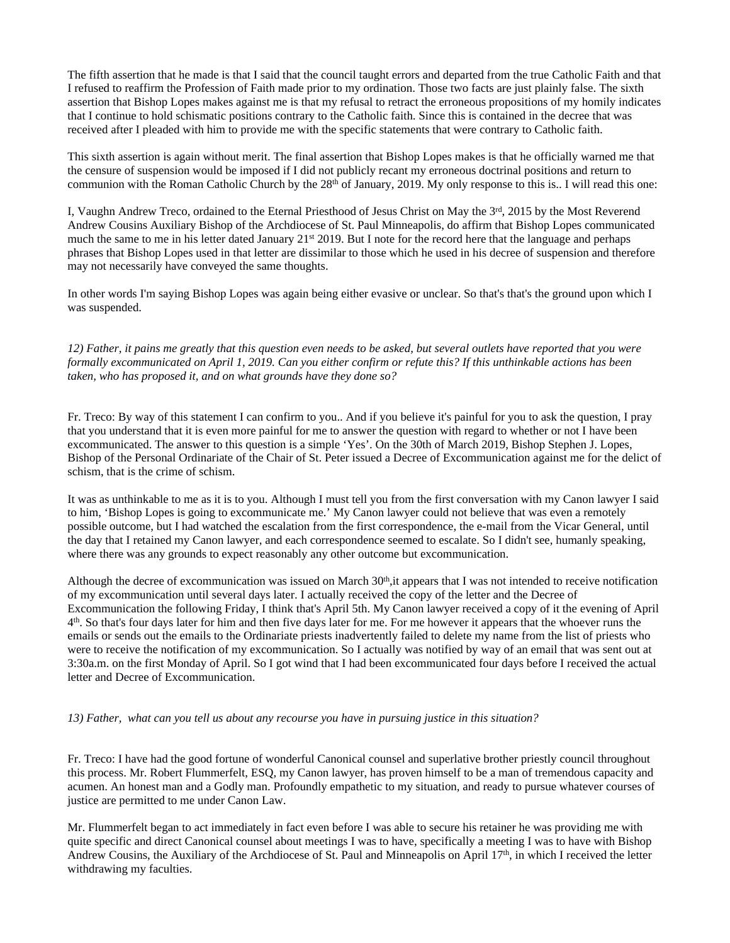The fifth assertion that he made is that I said that the council taught errors and departed from the true Catholic Faith and that I refused to reaffirm the Profession of Faith made prior to my ordination. Those two facts are just plainly false. The sixth assertion that Bishop Lopes makes against me is that my refusal to retract the erroneous propositions of my homily indicates that I continue to hold schismatic positions contrary to the Catholic faith. Since this is contained in the decree that was received after I pleaded with him to provide me with the specific statements that were contrary to Catholic faith.

This sixth assertion is again without merit. The final assertion that Bishop Lopes makes is that he officially warned me that the censure of suspension would be imposed if I did not publicly recant my erroneous doctrinal positions and return to communion with the Roman Catholic Church by the  $28<sup>th</sup>$  of January, 2019. My only response to this is.. I will read this one:

I, Vaughn Andrew Treco, ordained to the Eternal Priesthood of Jesus Christ on May the 3rd, 2015 by the Most Reverend Andrew Cousins Auxiliary Bishop of the Archdiocese of St. Paul Minneapolis, do affirm that Bishop Lopes communicated much the same to me in his letter dated January  $21^{st}$  2019. But I note for the record here that the language and perhaps phrases that Bishop Lopes used in that letter are dissimilar to those which he used in his decree of suspension and therefore may not necessarily have conveyed the same thoughts.

In other words I'm saying Bishop Lopes was again being either evasive or unclear. So that's that's the ground upon which I was suspended.

*12) Father, it pains me greatly that this question even needs to be asked, but several outlets have reported that you were formally excommunicated on April 1, 2019. Can you either confirm or refute this? If this unthinkable actions has been taken, who has proposed it, and on what grounds have they done so?*

Fr. Treco: By way of this statement I can confirm to you.. And if you believe it's painful for you to ask the question, I pray that you understand that it is even more painful for me to answer the question with regard to whether or not I have been excommunicated. The answer to this question is a simple 'Yes'. On the 30th of March 2019, Bishop Stephen J. Lopes, Bishop of the Personal Ordinariate of the Chair of St. Peter issued a Decree of Excommunication against me for the delict of schism, that is the crime of schism.

It was as unthinkable to me as it is to you. Although I must tell you from the first conversation with my Canon lawyer I said to him, 'Bishop Lopes is going to excommunicate me.' My Canon lawyer could not believe that was even a remotely possible outcome, but I had watched the escalation from the first correspondence, the e-mail from the Vicar General, until the day that I retained my Canon lawyer, and each correspondence seemed to escalate. So I didn't see, humanly speaking, where there was any grounds to expect reasonably any other outcome but excommunication.

Although the decree of excommunication was issued on March  $30<sup>th</sup>$ , it appears that I was not intended to receive notification of my excommunication until several days later. I actually received the copy of the letter and the Decree of Excommunication the following Friday, I think that's April 5th. My Canon lawyer received a copy of it the evening of April 4<sup>th</sup>. So that's four days later for him and then five days later for me. For me however it appears that the whoever runs the emails or sends out the emails to the Ordinariate priests inadvertently failed to delete my name from the list of priests who were to receive the notification of my excommunication. So I actually was notified by way of an email that was sent out at 3:30a.m. on the first Monday of April. So I got wind that I had been excommunicated four days before I received the actual letter and Decree of Excommunication.

*13) Father, what can you tell us about any recourse you have in pursuing justice in this situation?*

Fr. Treco: I have had the good fortune of wonderful Canonical counsel and superlative brother priestly council throughout this process. Mr. Robert Flummerfelt, ESQ, my Canon lawyer, has proven himself to be a man of tremendous capacity and acumen. An honest man and a Godly man. Profoundly empathetic to my situation, and ready to pursue whatever courses of justice are permitted to me under Canon Law.

Mr. Flummerfelt began to act immediately in fact even before I was able to secure his retainer he was providing me with quite specific and direct Canonical counsel about meetings I was to have, specifically a meeting I was to have with Bishop Andrew Cousins, the Auxiliary of the Archdiocese of St. Paul and Minneapolis on April 17th, in which I received the letter withdrawing my faculties.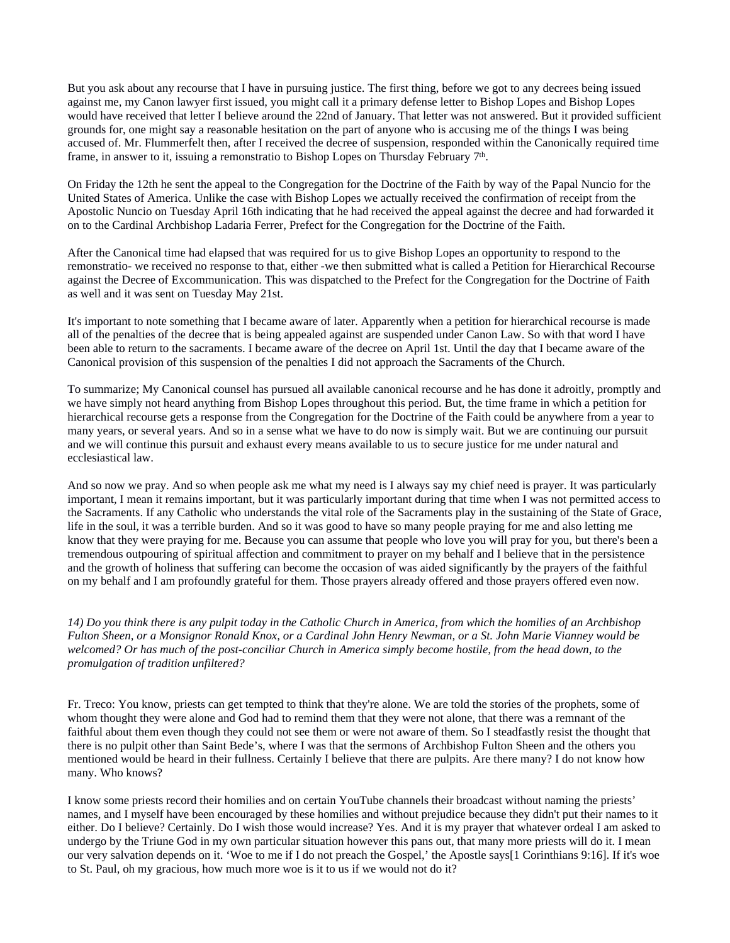But you ask about any recourse that I have in pursuing justice. The first thing, before we got to any decrees being issued against me, my Canon lawyer first issued, you might call it a primary defense letter to Bishop Lopes and Bishop Lopes would have received that letter I believe around the 22nd of January. That letter was not answered. But it provided sufficient grounds for, one might say a reasonable hesitation on the part of anyone who is accusing me of the things I was being accused of. Mr. Flummerfelt then, after I received the decree of suspension, responded within the Canonically required time frame, in answer to it, issuing a remonstratio to Bishop Lopes on Thursday February 7<sup>th</sup>.

On Friday the 12th he sent the appeal to the Congregation for the Doctrine of the Faith by way of the Papal Nuncio for the United States of America. Unlike the case with Bishop Lopes we actually received the confirmation of receipt from the Apostolic Nuncio on Tuesday April 16th indicating that he had received the appeal against the decree and had forwarded it on to the Cardinal Archbishop Ladaria Ferrer, Prefect for the Congregation for the Doctrine of the Faith.

After the Canonical time had elapsed that was required for us to give Bishop Lopes an opportunity to respond to the remonstratio- we received no response to that, either -we then submitted what is called a Petition for Hierarchical Recourse against the Decree of Excommunication. This was dispatched to the Prefect for the Congregation for the Doctrine of Faith as well and it was sent on Tuesday May 21st.

It's important to note something that I became aware of later. Apparently when a petition for hierarchical recourse is made all of the penalties of the decree that is being appealed against are suspended under Canon Law. So with that word I have been able to return to the sacraments. I became aware of the decree on April 1st. Until the day that I became aware of the Canonical provision of this suspension of the penalties I did not approach the Sacraments of the Church.

To summarize; My Canonical counsel has pursued all available canonical recourse and he has done it adroitly, promptly and we have simply not heard anything from Bishop Lopes throughout this period. But, the time frame in which a petition for hierarchical recourse gets a response from the Congregation for the Doctrine of the Faith could be anywhere from a year to many years, or several years. And so in a sense what we have to do now is simply wait. But we are continuing our pursuit and we will continue this pursuit and exhaust every means available to us to secure justice for me under natural and ecclesiastical law.

And so now we pray. And so when people ask me what my need is I always say my chief need is prayer. It was particularly important, I mean it remains important, but it was particularly important during that time when I was not permitted access to the Sacraments. If any Catholic who understands the vital role of the Sacraments play in the sustaining of the State of Grace, life in the soul, it was a terrible burden. And so it was good to have so many people praying for me and also letting me know that they were praying for me. Because you can assume that people who love you will pray for you, but there's been a tremendous outpouring of spiritual affection and commitment to prayer on my behalf and I believe that in the persistence and the growth of holiness that suffering can become the occasion of was aided significantly by the prayers of the faithful on my behalf and I am profoundly grateful for them. Those prayers already offered and those prayers offered even now.

*14) Do you think there is any pulpit today in the Catholic Church in America, from which the homilies of an Archbishop Fulton Sheen, or a Monsignor Ronald Knox, or a Cardinal John Henry Newman, or a St. John Marie Vianney would be*  welcomed? Or has much of the post-conciliar Church in America simply become hostile, from the head down, to the *promulgation of tradition unfiltered?*

Fr. Treco: You know, priests can get tempted to think that they're alone. We are told the stories of the prophets, some of whom thought they were alone and God had to remind them that they were not alone, that there was a remnant of the faithful about them even though they could not see them or were not aware of them. So I steadfastly resist the thought that there is no pulpit other than Saint Bede's, where I was that the sermons of Archbishop Fulton Sheen and the others you mentioned would be heard in their fullness. Certainly I believe that there are pulpits. Are there many? I do not know how many. Who knows?

I know some priests record their homilies and on certain YouTube channels their broadcast without naming the priests' names, and I myself have been encouraged by these homilies and without prejudice because they didn't put their names to it either. Do I believe? Certainly. Do I wish those would increase? Yes. And it is my prayer that whatever ordeal I am asked to undergo by the Triune God in my own particular situation however this pans out, that many more priests will do it. I mean our very salvation depends on it. 'Woe to me if I do not preach the Gospel,' the Apostle says[1 Corinthians 9:16]. If it's woe to St. Paul, oh my gracious, how much more woe is it to us if we would not do it?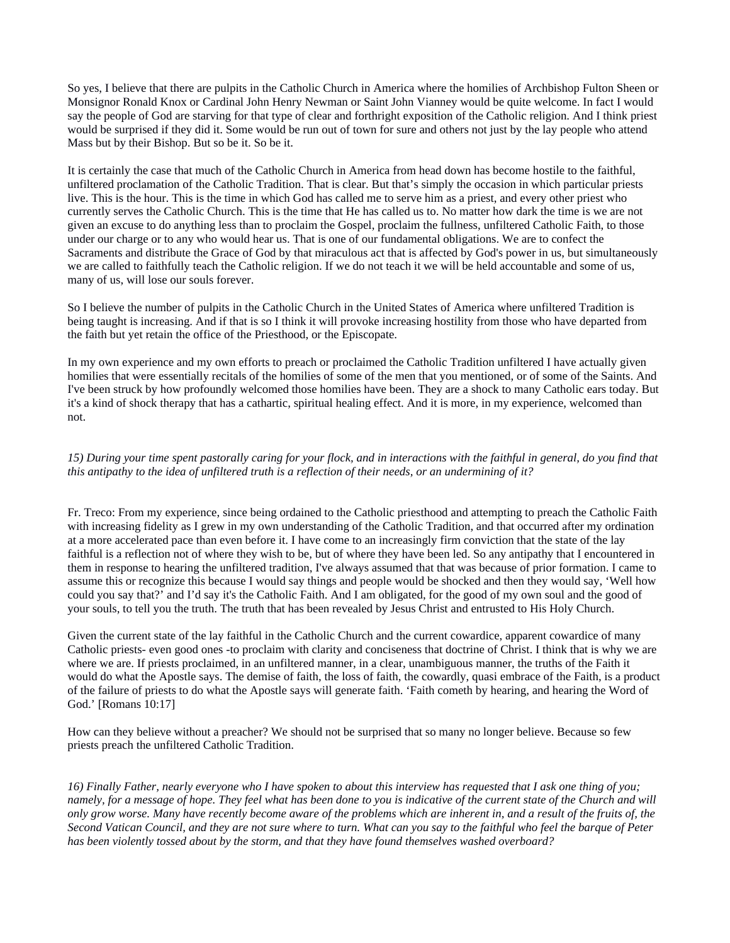So yes, I believe that there are pulpits in the Catholic Church in America where the homilies of Archbishop Fulton Sheen or Monsignor Ronald Knox or Cardinal John Henry Newman or Saint John Vianney would be quite welcome. In fact I would say the people of God are starving for that type of clear and forthright exposition of the Catholic religion. And I think priest would be surprised if they did it. Some would be run out of town for sure and others not just by the lay people who attend Mass but by their Bishop. But so be it. So be it.

It is certainly the case that much of the Catholic Church in America from head down has become hostile to the faithful, unfiltered proclamation of the Catholic Tradition. That is clear. But that's simply the occasion in which particular priests live. This is the hour. This is the time in which God has called me to serve him as a priest, and every other priest who currently serves the Catholic Church. This is the time that He has called us to. No matter how dark the time is we are not given an excuse to do anything less than to proclaim the Gospel, proclaim the fullness, unfiltered Catholic Faith, to those under our charge or to any who would hear us. That is one of our fundamental obligations. We are to confect the Sacraments and distribute the Grace of God by that miraculous act that is affected by God's power in us, but simultaneously we are called to faithfully teach the Catholic religion. If we do not teach it we will be held accountable and some of us, many of us, will lose our souls forever.

So I believe the number of pulpits in the Catholic Church in the United States of America where unfiltered Tradition is being taught is increasing. And if that is so I think it will provoke increasing hostility from those who have departed from the faith but yet retain the office of the Priesthood, or the Episcopate.

In my own experience and my own efforts to preach or proclaimed the Catholic Tradition unfiltered I have actually given homilies that were essentially recitals of the homilies of some of the men that you mentioned, or of some of the Saints. And I've been struck by how profoundly welcomed those homilies have been. They are a shock to many Catholic ears today. But it's a kind of shock therapy that has a cathartic, spiritual healing effect. And it is more, in my experience, welcomed than not.

*15) During your time spent pastorally caring for your flock, and in interactions with the faithful in general, do you find that this antipathy to the idea of unfiltered truth is a reflection of their needs, or an undermining of it?*

Fr. Treco: From my experience, since being ordained to the Catholic priesthood and attempting to preach the Catholic Faith with increasing fidelity as I grew in my own understanding of the Catholic Tradition, and that occurred after my ordination at a more accelerated pace than even before it. I have come to an increasingly firm conviction that the state of the lay faithful is a reflection not of where they wish to be, but of where they have been led. So any antipathy that I encountered in them in response to hearing the unfiltered tradition, I've always assumed that that was because of prior formation. I came to assume this or recognize this because I would say things and people would be shocked and then they would say, 'Well how could you say that?' and I'd say it's the Catholic Faith. And I am obligated, for the good of my own soul and the good of your souls, to tell you the truth. The truth that has been revealed by Jesus Christ and entrusted to His Holy Church.

Given the current state of the lay faithful in the Catholic Church and the current cowardice, apparent cowardice of many Catholic priests- even good ones -to proclaim with clarity and conciseness that doctrine of Christ. I think that is why we are where we are. If priests proclaimed, in an unfiltered manner, in a clear, unambiguous manner, the truths of the Faith it would do what the Apostle says. The demise of faith, the loss of faith, the cowardly, quasi embrace of the Faith, is a product of the failure of priests to do what the Apostle says will generate faith. 'Faith cometh by hearing, and hearing the Word of God.' [Romans 10:17]

How can they believe without a preacher? We should not be surprised that so many no longer believe. Because so few priests preach the unfiltered Catholic Tradition.

*16) Finally Father, nearly everyone who I have spoken to about this interview has requested that I ask one thing of you; namely, for a message of hope. They feel what has been done to you is indicative of the current state of the Church and will only grow worse. Many have recently become aware of the problems which are inherent in, and a result of the fruits of, the Second Vatican Council, and they are not sure where to turn. What can you say to the faithful who feel the barque of Peter has been violently tossed about by the storm, and that they have found themselves washed overboard?*